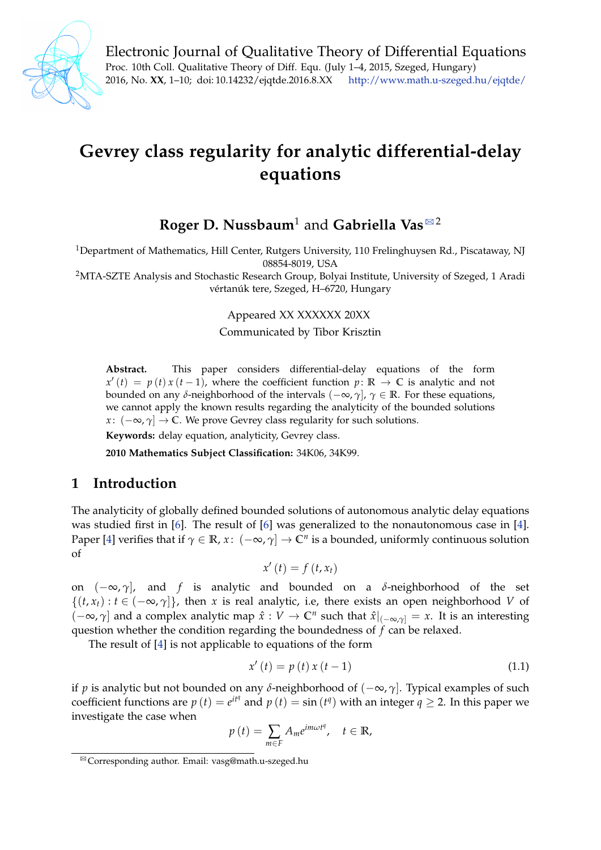

Electronic Journal of Qualitative Theory of Differential Equations Proc. 10th Coll. Qualitative Theory of Diff. Equ. (July 1–4, 2015, Szeged, Hungary) 2016, No. **XX**, 1–10; doi: 10.14232/ejqtde.2016.8.XX <http://www.math.u-szeged.hu/ejqtde/>

# **Gevrey class regularity for analytic differential-delay equations**

# **Roger D. Nussbaum<sup>1</sup> and Gabriella Vas** $\mathbb{R}^2$

<sup>1</sup>Department of Mathematics, Hill Center, Rutgers University, 110 Frelinghuysen Rd., Piscataway, NJ 08854-8019, USA

<sup>2</sup>MTA-SZTE Analysis and Stochastic Research Group, Bolyai Institute, University of Szeged, 1 Aradi vértanúk tere, Szeged, H–6720, Hungary

Appeared XX XXXXXX 20XX

Communicated by Tibor Krisztin

**Abstract.** This paper considers differential-delay equations of the form  $x'(t) = p(t)x(t-1)$ , where the coefficient function  $p: \mathbb{R} \to \mathbb{C}$  is analytic and not bounded on any *δ*-neighborhood of the intervals  $(-∞, γ)$ ,  $γ ∈ ℝ$ . For these equations, we cannot apply the known results regarding the analyticity of the bounded solutions *x* :  $(-\infty, \gamma] \rightarrow \mathbb{C}$ . We prove Gevrey class regularity for such solutions.

**Keywords:** delay equation, analyticity, Gevrey class.

**2010 Mathematics Subject Classification:** 34K06, 34K99.

### **1 Introduction**

The analyticity of globally defined bounded solutions of autonomous analytic delay equations was studied first in [\[6\]](#page-9-0). The result of [\[6\]](#page-9-0) was generalized to the nonautonomous case in [\[4\]](#page-8-0). Paper [\[4\]](#page-8-0) verifies that if *γ* ∈ **R**, *x* : (−∞, *γ*] → **C***<sup>n</sup>* is a bounded, uniformly continuous solution of

$$
x'(t) = f(t, x_t)
$$

on (−∞, *γ*], and *f* is analytic and bounded on a *δ*-neighborhood of the set  $\{(t, x_t): t \in (-\infty, \gamma]\},$  then *x* is real analytic, i.e, there exists an open neighborhood *V* of  $(-\infty, \gamma]$  and a complex analytic map  $\hat{x}: V \to \mathbb{C}^n$  such that  $\hat{x}|_{(-\infty, \gamma]} = x$ . It is an interesting question whether the condition regarding the boundedness of *f* can be relaxed.

The result of [\[4\]](#page-8-0) is not applicable to equations of the form

<span id="page-0-1"></span>
$$
x'(t) = p(t)x(t-1)
$$
 (1.1)

if *p* is analytic but not bounded on any *δ*-neighborhood of (−∞, *γ*]. Typical examples of such coefficient functions are  $p(t) = e^{it\theta}$  and  $p(t) = \sin(t\theta)$  with an integer  $q \ge 2$ . In this paper we investigate the case when

$$
p(t) = \sum_{m \in F} A_m e^{im\omega t^q}, \quad t \in \mathbb{R},
$$

<span id="page-0-0"></span><sup>&</sup>lt;sup>⊠</sup> Corresponding author. Email: vasg@math.u-szeged.hu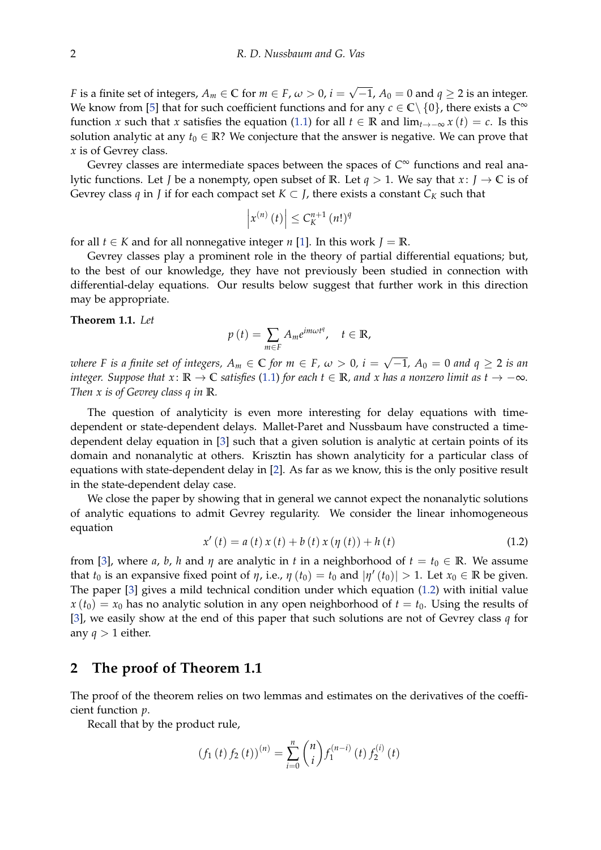*F* is a finite set of integers,  $A_m \in \mathbb{C}$  for  $m \in F$ ,  $\omega > 0$ ,  $i =$ √  $\mathcal{A}_0=0$  and  $q\geq 2$  is an integer. We know from [\[5\]](#page-9-1) that for such coefficient functions and for any  $c \in \mathbb{C} \setminus \{0\}$ , there exists a  $C^{\infty}$ function *x* such that *x* satisfies the equation [\(1.1\)](#page-0-1) for all  $t \in \mathbb{R}$  and  $\lim_{t \to -\infty} x(t) = c$ . Is this solution analytic at any  $t_0 \in \mathbb{R}$ ? We conjecture that the answer is negative. We can prove that *x* is of Gevrey class.

Gevrey classes are intermediate spaces between the spaces of *C* <sup>∞</sup> functions and real analytic functions. Let *J* be a nonempty, open subset of **R**. Let  $q > 1$ . We say that  $x: J \to \mathbb{C}$  is of Gevrey class *q* in *J* if for each compact set  $K \subset J$ , there exists a constant  $C_K$  such that

$$
\left|x^{(n)}\left(t\right)\right| \leq C_K^{n+1}\left(n!\right)^q
$$

for all  $t \in K$  and for all nonnegative integer *n* [\[1\]](#page-8-1). In this work  $J = \mathbb{R}$ .

Gevrey classes play a prominent role in the theory of partial differential equations; but, to the best of our knowledge, they have not previously been studied in connection with differential-delay equations. Our results below suggest that further work in this direction may be appropriate.

#### <span id="page-1-1"></span>**Theorem 1.1.** *Let*

$$
p(t) = \sum_{m \in F} A_m e^{im\omega t^q}, \quad t \in \mathbb{R},
$$

*where F is a finite set of integers,*  $A_m \in \mathbb{C}$  *for*  $m \in F$ *,*  $\omega > 0$ *, i =* √ −1*, A*<sup>0</sup> = 0 *and q* ≥ 2 *is an integer. Suppose that*  $x: \mathbb{R} \to \mathbb{C}$  *satisfies* [\(1.1\)](#page-0-1) *for each*  $t \in \mathbb{R}$ *, and*  $x$  *has a nonzero limit as*  $t \to -\infty$ *. Then x is of Gevrey class q in* **R***.*

The question of analyticity is even more interesting for delay equations with timedependent or state-dependent delays. Mallet-Paret and Nussbaum have constructed a timedependent delay equation in [\[3\]](#page-8-2) such that a given solution is analytic at certain points of its domain and nonanalytic at others. Krisztin has shown analyticity for a particular class of equations with state-dependent delay in [\[2\]](#page-8-3). As far as we know, this is the only positive result in the state-dependent delay case.

We close the paper by showing that in general we cannot expect the nonanalytic solutions of analytic equations to admit Gevrey regularity. We consider the linear inhomogeneous equation

<span id="page-1-0"></span>
$$
x'(t) = a(t) x(t) + b(t) x(\eta(t)) + h(t)
$$
\n(1.2)

from [\[3\]](#page-8-2), where *a*, *b*, *h* and *η* are analytic in *t* in a neighborhood of  $t = t_0 \in \mathbb{R}$ . We assume that  $t_0$  is an expansive fixed point of  $\eta$ , i.e.,  $\eta$  ( $t_0$ ) =  $t_0$  and  $|\eta'(t_0)| > 1$ . Let  $x_0 \in \mathbb{R}$  be given. The paper [\[3\]](#page-8-2) gives a mild technical condition under which equation [\(1.2\)](#page-1-0) with initial value  $x(t_0) = x_0$  has no analytic solution in any open neighborhood of  $t = t_0$ . Using the results of [\[3\]](#page-8-2), we easily show at the end of this paper that such solutions are not of Gevrey class *q* for any  $q > 1$  either.

### **2 The proof of Theorem 1.1**

The proof of the theorem relies on two lemmas and estimates on the derivatives of the coefficient function *p*.

Recall that by the product rule,

$$
(f_1(t) f_2(t))^{(n)} = \sum_{i=0}^{n} {n \choose i} f_1^{(n-i)}(t) f_2^{(i)}(t)
$$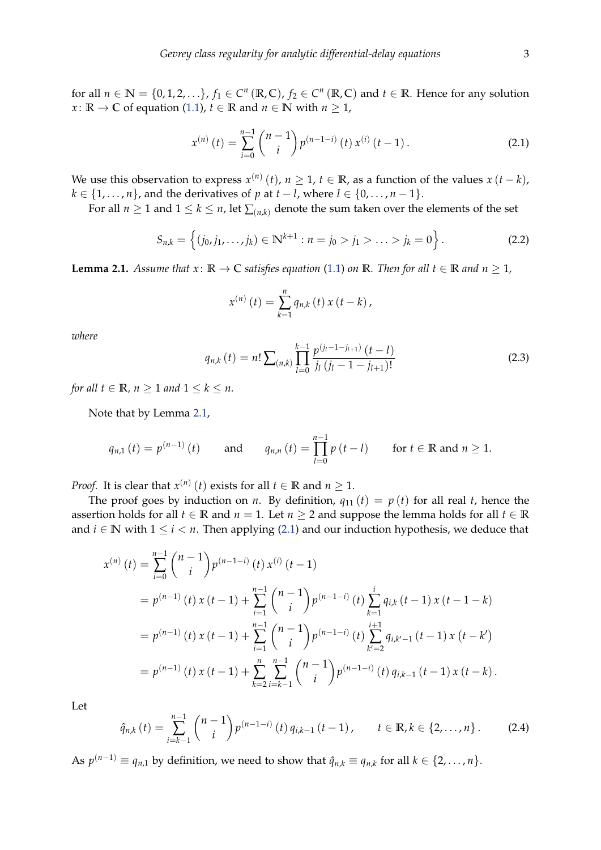for all  $n \in \mathbb{N} = \{0, 1, 2, \ldots\}$ ,  $f_1 \in C^n(\mathbb{R}, \mathbb{C})$ ,  $f_2 \in C^n(\mathbb{R}, \mathbb{C})$  and  $t \in \mathbb{R}$ . Hence for any solution *x* :  $\mathbb{R} \to \mathbb{C}$  of equation [\(1.1\)](#page-0-1),  $t \in \mathbb{R}$  and  $n \in \mathbb{N}$  with  $n \geq 1$ ,

<span id="page-2-1"></span>
$$
x^{(n)}(t) = \sum_{i=0}^{n-1} {n-1 \choose i} p^{(n-1-i)}(t) x^{(i)}(t-1).
$$
 (2.1)

We use this observation to express  $x^{(n)}(t)$ ,  $n \geq 1$ ,  $t \in \mathbb{R}$ , as a function of the values  $x(t - k)$ ,  $k \in \{1, \ldots, n\}$ , and the derivatives of *p* at  $t - l$ , where  $l \in \{0, \ldots, n - 1\}$ .

For all  $n \ge 1$  and  $1 \le k \le n$ , let  $\sum_{(n,k)}$  denote the sum taken over the elements of the set

<span id="page-2-4"></span>
$$
S_{n,k} = \left\{ (j_0, j_1, \ldots, j_k) \in \mathbb{N}^{k+1} : n = j_0 > j_1 > \ldots > j_k = 0 \right\}.
$$
 (2.2)

<span id="page-2-0"></span>**Lemma 2.1.** *Assume that*  $x: \mathbb{R} \to \mathbb{C}$  *satisfies equation* [\(1.1\)](#page-0-1) *on* **R***. Then for all*  $t \in \mathbb{R}$  *and*  $n \geq 1$ *,* 

$$
x^{(n)}(t) = \sum_{k=1}^{n} q_{n,k}(t) x(t-k),
$$

*where*

<span id="page-2-2"></span>
$$
q_{n,k}(t) = n! \sum_{(n,k)} \prod_{l=0}^{k-1} \frac{p^{(j_l-1-j_{l+1})} (t-l)}{j_l (j_l-1-j_{l+1})!}
$$
(2.3)

*for all*  $t \in \mathbb{R}$ *,*  $n \geq 1$  *and*  $1 \leq k \leq n$ *.* 

Note that by Lemma [2.1,](#page-2-0)

$$
q_{n,1}(t) = p^{(n-1)}(t)
$$
 and  $q_{n,n}(t) = \prod_{l=0}^{n-1} p(t-l)$  for  $t \in \mathbb{R}$  and  $n \ge 1$ .

*Proof.* It is clear that  $x^{(n)}(t)$  exists for all  $t \in \mathbb{R}$  and  $n \geq 1$ .

The proof goes by induction on *n*. By definition,  $q_{11}(t) = p(t)$  for all real *t*, hence the assertion holds for all  $t \in \mathbb{R}$  and  $n = 1$ . Let  $n \geq 2$  and suppose the lemma holds for all  $t \in \mathbb{R}$ and  $i \in \mathbb{N}$  with  $1 \leq i < n$ . Then applying [\(2.1\)](#page-2-1) and our induction hypothesis, we deduce that

$$
x^{(n)}(t) = \sum_{i=0}^{n-1} {n-1 \choose i} p^{(n-1-i)}(t) x^{(i)}(t-1)
$$
  
=  $p^{(n-1)}(t) x(t-1) + \sum_{i=1}^{n-1} {n-1 \choose i} p^{(n-1-i)}(t) \sum_{k=1}^{i} q_{i,k}(t-1) x(t-1-k)$   
=  $p^{(n-1)}(t) x(t-1) + \sum_{i=1}^{n-1} {n-1 \choose i} p^{(n-1-i)}(t) \sum_{k'=2}^{i+1} q_{i,k'-1}(t-1) x(t-k')$   
=  $p^{(n-1)}(t) x(t-1) + \sum_{k=2}^{n} \sum_{i=k-1}^{n-1} {n-1 \choose i} p^{(n-1-i)}(t) q_{i,k-1}(t-1) x(t-k).$ 

Let

<span id="page-2-3"></span>
$$
\hat{q}_{n,k}(t) = \sum_{i=k-1}^{n-1} {n-1 \choose i} p^{(n-1-i)}(t) q_{i,k-1}(t-1), \qquad t \in \mathbb{R}, k \in \{2, ..., n\}.
$$
 (2.4)

As  $p^{(n-1)} \equiv q_{n,1}$  by definition, we need to show that  $\hat{q}_{n,k} \equiv q_{n,k}$  for all  $k \in \{2, \ldots, n\}$ .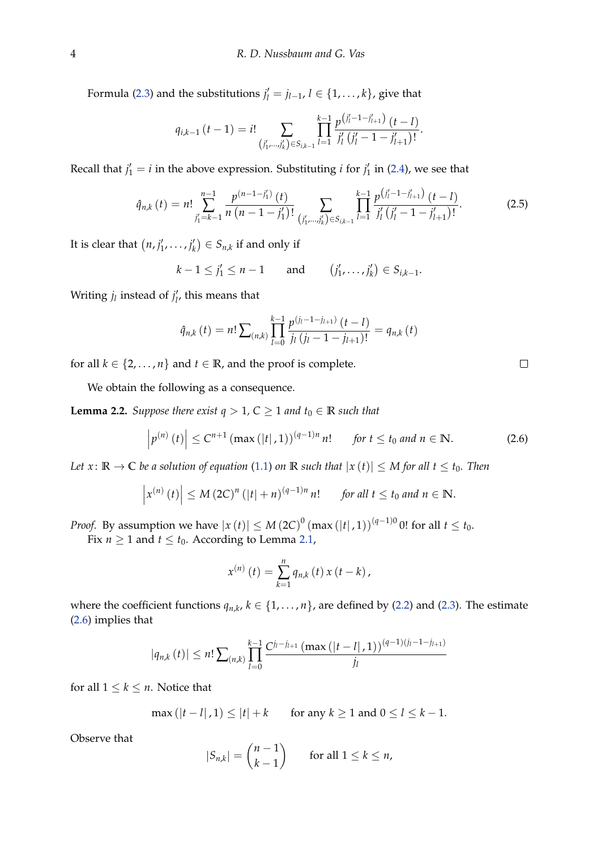Formula [\(2.3\)](#page-2-2) and the substitutions  $j'_l = j_{l-1}, l \in \{1, ..., k\}$ , give that

$$
q_{i,k-1} (t-1) = i! \sum_{(j'_1, \ldots, j'_k) \in S_{i,k-1}} \prod_{l=1}^{k-1} \frac{p^{(j'_l-1-j'_{l+1})} (t-l)}{j'_l (j'_l-1-j'_{l+1})!}.
$$

Recall that  $j'_1 = i$  in the above expression. Substituting *i* for  $j'_1$  in [\(2.4\)](#page-2-3), we see that

$$
\hat{q}_{n,k}(t) = n! \sum_{j'_1 = k-1}^{n-1} \frac{p^{(n-1-j'_1)}(t)}{n (n-1-j'_1)!} \sum_{(j'_1, \ldots, j'_k) \in S_{i,k-1}} \prod_{l=1}^{k-1} \frac{p^{(j'_l-1-j'_{l+1})} (t-l)}{j'_l (j'_l-1-j'_{l+1})!}.
$$
 (2.5)

It is clear that  $(n, j'_1, \ldots, j'_k) \in S_{n,k}$  if and only if

$$
k-1 \le j'_1 \le n-1
$$
 and  $(j'_1,\ldots,j'_k) \in S_{i,k-1}.$ 

Writing  $j_l$  instead of  $j'_l$ , this means that

$$
\hat{q}_{n,k}(t) = n! \sum_{(n,k)} \prod_{l=0}^{k-1} \frac{p^{(j_l-1-j_{l+1})}(t-l)}{j_l(j_l-1-j_{l+1})!} = q_{n,k}(t)
$$

for all  $k \in \{2, ..., n\}$  and  $t \in \mathbb{R}$ , and the proof is complete.

We obtain the following as a consequence.

<span id="page-3-1"></span>**Lemma 2.2.** *Suppose there exist*  $q > 1$ ,  $C \geq 1$  *and*  $t_0 \in \mathbb{R}$  *such that* 

<span id="page-3-0"></span>
$$
\left| p^{(n)}(t) \right| \leq C^{n+1} \left( \max\left( |t|, 1 \right) \right)^{(q-1)n} n! \quad \text{for } t \leq t_0 \text{ and } n \in \mathbb{N}. \tag{2.6}
$$

*Let*  $x: \mathbb{R} \to \mathbb{C}$  *be a solution of equation* [\(1.1\)](#page-0-1) *on*  $\mathbb{R}$  *such that*  $|x(t)| \leq M$  *for all*  $t \leq t_0$ *. Then* 

$$
\left|x^{(n)}(t)\right| \leq M\left(2C\right)^n\left(|t|+n\right)^{(q-1)n}n! \quad \text{for all } t \leq t_0 \text{ and } n \in \mathbb{N}.
$$

*Proof.* By assumption we have  $|x(t)| \leq M (2C)^{0} (\max(|t|, 1))^{(q-1)0}$  0! for all  $t \leq t_0$ .

Fix  $n \geq 1$  and  $t \leq t_0$ . According to Lemma [2.1,](#page-2-0)

$$
x^{(n)}(t) = \sum_{k=1}^{n} q_{n,k}(t) x(t-k),
$$

where the coefficient functions  $q_{n,k}$ ,  $k \in \{1, ..., n\}$ , are defined by [\(2.2\)](#page-2-4) and [\(2.3\)](#page-2-2). The estimate [\(2.6\)](#page-3-0) implies that

$$
|q_{n,k}(t)| \leq n! \sum_{(n,k)} \prod_{l=0}^{k-1} \frac{C^{j_l-j_{l+1}} \left( \max\left( |t-l|, 1 \right) \right)^{(q-1)(j_l-1-j_{l+1})}}{j_l}
$$

for all  $1 \leq k \leq n$ . Notice that

$$
\max(|t - l|, 1) \le |t| + k
$$
 for any  $k \ge 1$  and  $0 \le l \le k - 1$ .

Observe that

$$
|S_{n,k}| = \binom{n-1}{k-1} \quad \text{for all } 1 \leq k \leq n,
$$

 $\Box$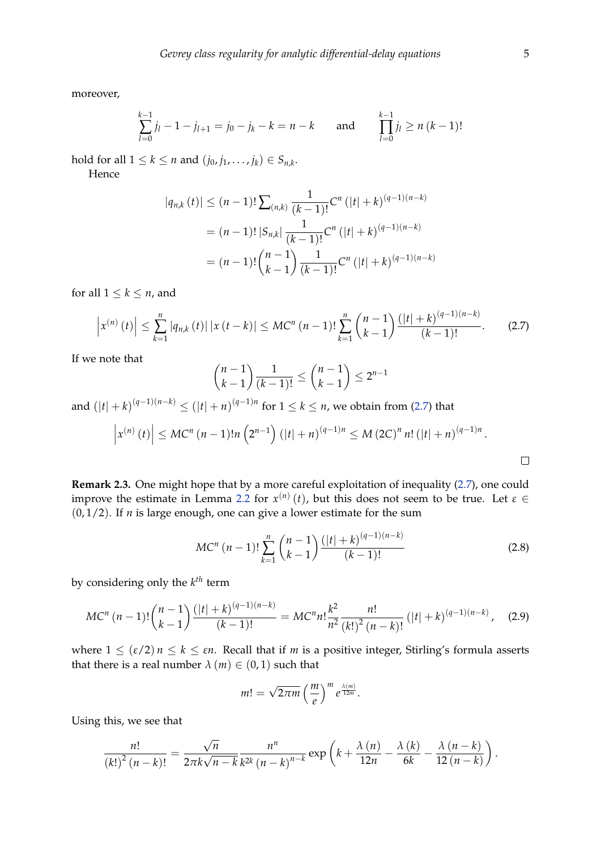moreover,

$$
\sum_{l=0}^{k-1} j_l - 1 - j_{l+1} = j_0 - j_k - k = n - k \quad \text{and} \quad \prod_{l=0}^{k-1} j_l \ge n (k-1)!
$$

hold for all  $1 \leq k \leq n$  and  $(j_0, j_1, \ldots, j_k) \in S_{n,k}$ .

Hence

$$
|q_{n,k}(t)| \le (n-1)! \sum_{(n,k)} \frac{1}{(k-1)!} C^n (|t|+k)^{(q-1)(n-k)}
$$
  
=  $(n-1)! |S_{n,k}| \frac{1}{(k-1)!} C^n (|t|+k)^{(q-1)(n-k)}$   
=  $(n-1)! {n-1 \choose k-1} \frac{1}{(k-1)!} C^n (|t|+k)^{(q-1)(n-k)}$ 

for all  $1 \leq k \leq n$ , and

<span id="page-4-0"></span>
$$
\left|x^{(n)}\left(t\right)\right| \leq \sum_{k=1}^{n} \left|q_{n,k}\left(t\right)\right| \left|x\left(t-k\right)\right| \leq MC^{n}\left(n-1\right)!\sum_{k=1}^{n} \binom{n-1}{k-1} \frac{\left(|t|+k\right)^{(q-1)(n-k)}}{(k-1)!}.\tag{2.7}
$$

If we note that

$$
\binom{n-1}{k-1} \frac{1}{(k-1)!} \le \binom{n-1}{k-1} \le 2^{n-1}
$$

and  $(|t| + k)^{(q-1)(n-k)} \leq (|t| + n)^{(q-1)n}$  for  $1 \leq k \leq n$ , we obtain from [\(2.7\)](#page-4-0) that

$$
\left| x^{(n)}(t) \right| \leq MC^n (n-1)! n \left( 2^{n-1} \right) (|t|+n)^{(q-1)n} \leq M (2C)^n n! (|t|+n)^{(q-1)n}.
$$

**Remark 2.3.** One might hope that by a more careful exploitation of inequality [\(2.7\)](#page-4-0), one could improve the estimate in Lemma [2.2](#page-3-1) for  $x^{(n)}(t)$ , but this does not seem to be true. Let  $\varepsilon \in$  $(0, 1/2)$ . If *n* is large enough, one can give a lower estimate for the sum

<span id="page-4-2"></span>
$$
MC^{n} (n-1)! \sum_{k=1}^{n} {n-1 \choose k-1} \frac{(|t|+k)^{(q-1)(n-k)}}{(k-1)!}
$$
 (2.8)

by considering only the *k th* term

<span id="page-4-1"></span>
$$
MC^{n} (n-1)! {n-1 \choose k-1} \frac{(|t|+k)^{(q-1)(n-k)}}{(k-1)!} = MC^{n} n! \frac{k^{2}}{n^{2}} \frac{n!}{(k!)^{2} (n-k)!} (|t|+k)^{(q-1)(n-k)}, \quad (2.9)
$$

where  $1 \leq (\varepsilon/2) n \leq k \leq \varepsilon n$ . Recall that if *m* is a positive integer, Stirling's formula asserts that there is a real number  $\lambda$  (*m*)  $\in$  (0,1) such that

$$
m! = \sqrt{2\pi m} \left(\frac{m}{e}\right)^m e^{\frac{\lambda(m)}{12m}}.
$$

Using this, we see that

$$
\frac{n!}{(k!)^2 (n-k)!} = \frac{\sqrt{n}}{2\pi k \sqrt{n-k}} \frac{n^n}{k^{2k} (n-k)^{n-k}} \exp\left(k + \frac{\lambda(n)}{12n} - \frac{\lambda(n)}{6k} - \frac{\lambda(n-k)}{12(n-k)}\right).
$$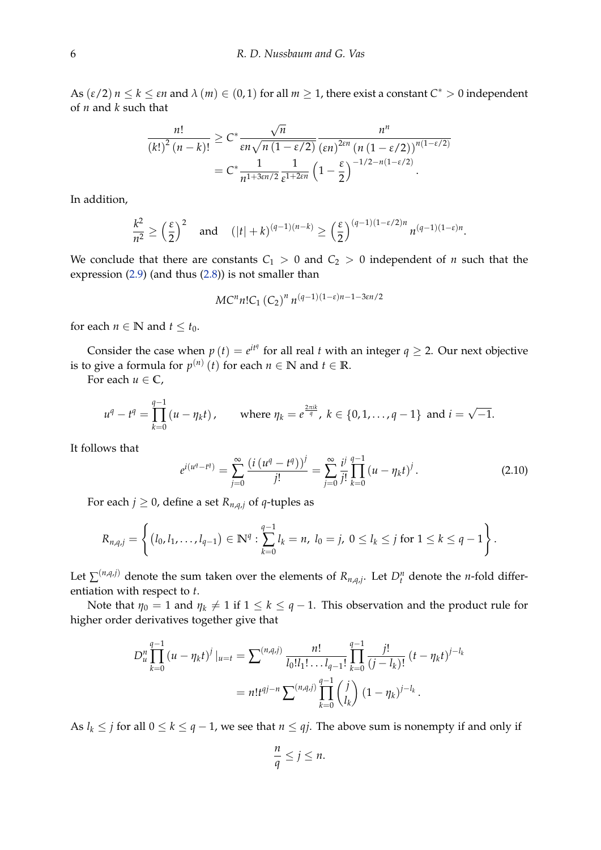As  $(\varepsilon/2)$   $n \leq k \leq \varepsilon n$  and  $\lambda(m) \in (0,1)$  for all  $m \geq 1$ , there exist a constant  $C^* > 0$  independent of *n* and *k* such that

$$
\frac{n!}{(k!)^2 (n-k)!} \geq C^* \frac{\sqrt{n}}{\varepsilon n \sqrt{n (1-\varepsilon/2)}} \frac{n^n}{(\varepsilon n)^{2\varepsilon n} (n (1-\varepsilon/2))^{n(1-\varepsilon/2)}}
$$

$$
= C^* \frac{1}{n^{1+3\varepsilon n/2}} \frac{1}{\varepsilon^{1+2\varepsilon n}} \left(1 - \frac{\varepsilon}{2}\right)^{-1/2 - n(1-\varepsilon/2)}.
$$

In addition,

$$
\frac{k^2}{n^2} \ge \left(\frac{\varepsilon}{2}\right)^2 \quad \text{and} \quad (|t|+k)^{(q-1)(n-k)} \ge \left(\frac{\varepsilon}{2}\right)^{(q-1)(1-\varepsilon/2)n} n^{(q-1)(1-\varepsilon)n}.
$$

We conclude that there are constants  $C_1 > 0$  and  $C_2 > 0$  independent of *n* such that the expression [\(2.9\)](#page-4-1) (and thus [\(2.8\)](#page-4-2)) is not smaller than

$$
MC^{n}n!C_{1}\left(C_{2}\right)^{n}n^{(q-1)(1-\varepsilon)n-1-3\varepsilon n/2}
$$

for each  $n \in \mathbb{N}$  and  $t \leq t_0$ .

Consider the case when  $p(t) = e^{it\theta}$  for all real *t* with an integer  $q \geq 2$ . Our next objective is to give a formula for  $p^{(n)}(t)$  for each  $n \in \mathbb{N}$  and  $t \in \mathbb{R}$ .

For each  $u \in \mathbb{C}$ ,

$$
u^{q} - t^{q} = \prod_{k=0}^{q-1} (u - \eta_{k}t), \quad \text{where } \eta_{k} = e^{\frac{2\pi i k}{q}}, k \in \{0, 1, ..., q-1\} \text{ and } i = \sqrt{-1}.
$$

It follows that

<span id="page-5-0"></span>
$$
e^{i(u^{q}-t^{q})} = \sum_{j=0}^{\infty} \frac{(i(u^{q}-t^{q}))^{j}}{j!} = \sum_{j=0}^{\infty} \frac{i^{j}}{j!} \prod_{k=0}^{q-1} (u-\eta_{k}t)^{j}.
$$
 (2.10)

For each *j*  $\geq$  0, define a set  $R_{n,q,j}$  of *q*-tuples as

$$
R_{n,q,j} = \left\{ (l_0, l_1, \ldots, l_{q-1}) \in \mathbb{N}^q : \sum_{k=0}^{q-1} l_k = n, l_0 = j, 0 \leq l_k \leq j \text{ for } 1 \leq k \leq q-1 \right\}.
$$

Let  $\sum^{(n,q,j)}$  denote the sum taken over the elements of  $R_{n,q,j}$ . Let  $D_t^n$  denote the *n*-fold differentiation with respect to *t*.

Note that  $\eta_0 = 1$  and  $\eta_k \neq 1$  if  $1 \leq k \leq q-1$ . This observation and the product rule for higher order derivatives together give that

$$
D_u^n \prod_{k=0}^{q-1} (u - \eta_k t)^j |_{u=t} = \sum_{k=0}^{(n,q,j)} \frac{n!}{l_0! l_1! \dots l_{q-1}!} \prod_{k=0}^{q-1} \frac{j!}{(j - l_k)!} (t - \eta_k t)^{j - l_k}
$$
  
=  $n! t^{qj-n} \sum_{k=0}^{(n,q,j)} \prod_{k=0}^{q-1} {j \choose l_k} (1 - \eta_k)^{j - l_k}.$ 

As  $l_k \leq j$  for all  $0 \leq k \leq q-1$ , we see that  $n \leq qj$ . The above sum is nonempty if and only if

$$
\frac{n}{q} \le j \le n.
$$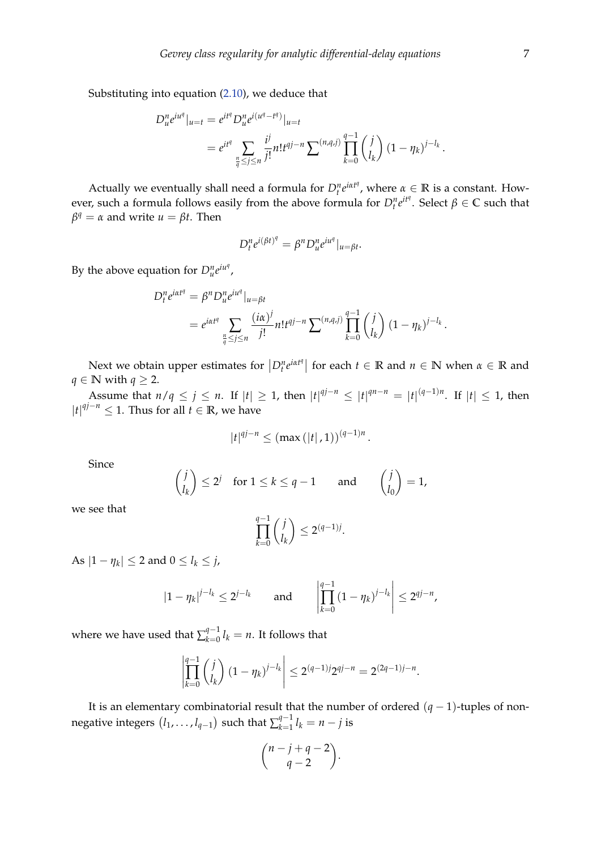Substituting into equation [\(2.10\)](#page-5-0), we deduce that

$$
D_u^n e^{iu^q} |_{u=t} = e^{it^q} D_u^n e^{i(u^q - t^q)} |_{u=t}
$$
  
= 
$$
e^{it^q} \sum_{\frac{n}{q} \le j \le n} \frac{i^j}{j!} n! t^{qj-n} \sum^{(n,q,j)} \prod_{k=0}^{q-1} {j \choose l_k} (1 - \eta_k)^{j-l_k}
$$

Actually we eventually shall need a formula for  $D_t^n e^{i\alpha t^n}$ , where  $\alpha \in \mathbb{R}$  is a constant. However, such a formula follows easily from the above formula for  $D_t^n e^{it^q}$ . Select  $\beta \in \mathbb{C}$  such that  $β<sup>q</sup> = α$  and write  $u = βt$ . Then

$$
D_t^n e^{i(\beta t)^q} = \beta^n D_u^n e^{iu^q}|_{u=\beta t}.
$$

By the above equation for  $D_u^n e^{iu^q}$ ,

$$
D_t^n e^{i\alpha t^q} = \beta^n D_u^n e^{iu^q}|_{u=\beta t}
$$
  
=  $e^{i\alpha t^q} \sum_{\frac{n}{q} \le j \le n} \frac{(i\alpha)^j}{j!} n! t^{qj-n} \sum^{(n,q,j)} \prod_{k=0}^{q-1} {j \choose l_k} (1 - \eta_k)^{j-l_k}.$ 

Next we obtain upper estimates for  $\left| D_t^n e^{i\alpha t^q} \right|$  for each  $t \in \mathbb{R}$  and  $n \in \mathbb{N}$  when  $\alpha \in \mathbb{R}$  and *q* ∈ **N** with *q* ≥ 2.

Assume that  $n/q \le j \le n$ . If  $|t| \ge 1$ , then  $|t|^{qj-n} \le |t|^{qn-n} = |t|^{(q-1)n}$ . If  $|t| \le 1$ , then  $|t|^{qj-n}$  ≤ 1. Thus for all *t* ∈ **R**, we have

$$
|t|^{qj-n} \leq (\max(|t|,1))^{(q-1)n}.
$$

Since

$$
\binom{j}{l_k} \le 2^j \quad \text{for } 1 \le k \le q-1 \qquad \text{and} \qquad \binom{j}{l_0} = 1,
$$

we see that

$$
\prod_{k=0}^{q-1} \binom{j}{l_k} \le 2^{(q-1)j}
$$

.

 $\text{As } |1 - \eta_k| \leq 2 \text{ and } 0 \leq l_k \leq j$ ,

$$
|1 - \eta_k|^{j - l_k} \leq 2^{j - l_k} \quad \text{and} \quad \left| \prod_{k=0}^{q-1} (1 - \eta_k)^{j - l_k} \right| \leq 2^{qj - n},
$$

where we have used that  $\sum_{k=0}^{q-1}$  $\int_{k=0}^{q-1} l_k = n$ . It follows that

$$
\left|\prod_{k=0}^{q-1} {j \choose l_k} (1-\eta_k)^{j-l_k}\right| \le 2^{(q-1)j} 2^{qj-n} = 2^{(2q-1)j-n}.
$$

It is an elementary combinatorial result that the number of ordered (*q* − 1)-tuples of nonnegative integers  $(l_1,\ldots,l_{q-1})$  such that  $\sum_{k=1}^{q-1}$  $\sum_{k=1}^{q-1} l_k = n - j$  is

$$
\binom{n-j+q-2}{q-2}.
$$

.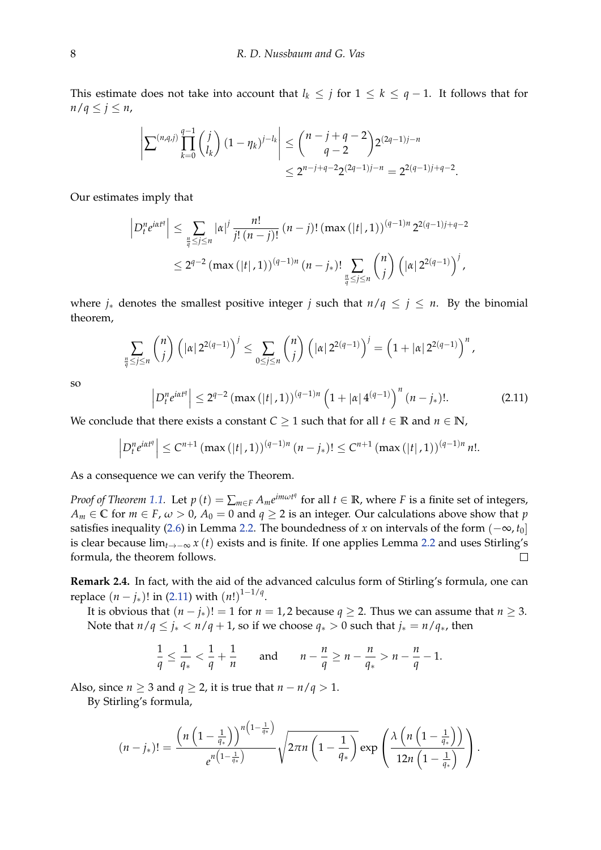This estimate does not take into account that  $l_k \leq j$  for  $1 \leq k \leq q-1$ . It follows that for  $n/q \leq j \leq n$ ,

$$
\left| \sum^{(n,q,j)} \prod_{k=0}^{q-1} {j \choose l_k} (1 - \eta_k)^{j-l_k} \right| \le {n-j+q-2 \choose q-2} 2^{(2q-1)j-n} \le 2^{n-j+q-2} 2^{(2q-1)j-n} = 2^{2(q-1)j+q-2}.
$$

Our estimates imply that

$$
\left| D_t^n e^{i\alpha t^q} \right| \leq \sum_{\frac{n}{q} \leq j \leq n} |\alpha|^j \frac{n!}{j! (n-j)!} (n-j)! (max (|t|, 1))^{(q-1)n} 2^{2(q-1)j+q-2}
$$
  

$$
\leq 2^{q-2} (max (|t|, 1))^{(q-1)n} (n - j_*)! \sum_{\frac{n}{q} \leq j \leq n} {n \choose j} (|\alpha| 2^{2(q-1)})^j,
$$

where  $j_*$  denotes the smallest positive integer *j* such that  $n/q \le j \le n$ . By the binomial theorem,

$$
\sum_{\frac{n}{q} \le j \le n} \binom{n}{j} \left( |\alpha| 2^{2(q-1)} \right)^j \le \sum_{0 \le j \le n} \binom{n}{j} \left( |\alpha| 2^{2(q-1)} \right)^j = \left( 1 + |\alpha| 2^{2(q-1)} \right)^n,
$$

so

$$
D_t^n e^{i\alpha t^q} \le 2^{q-2} \left( \max\left( |t|, 1 \right) \right)^{(q-1)n} \left( 1 + |\alpha| 4^{(q-1)} \right)^n (n - j_*)! . \tag{2.11}
$$

We conclude that there exists a constant *C*  $\geq$  1 such that for all *t*  $\in$  **R** and *n*  $\in$  **N**,

$$
\left|D_t^n e^{i\alpha t^q}\right| \leq C^{n+1} \left(\max\left(\left|t\right|, 1\right)\right)^{(q-1)n} (n-j_*)! \leq C^{n+1} \left(\max\left(\left|t\right|, 1\right)\right)^{(q-1)n} n!.
$$

As a consequence we can verify the Theorem.

<span id="page-7-0"></span> $\overline{\phantom{a}}$  $\overline{\phantom{a}}$  $\mid$ 

*Proof of Theorem [1.1.](#page-1-1)* Let  $p(t) = \sum_{m \in F} A_m e^{im\omega t^q}$  for all  $t \in \mathbb{R}$ , where *F* is a finite set of integers,  $A_m \in \mathbb{C}$  for  $m \in F$ ,  $\omega > 0$ ,  $A_0 = 0$  and  $q \geq 2$  is an integer. Our calculations above show that *p* satisfies inequality [\(2.6\)](#page-3-0) in Lemma [2.2.](#page-3-1) The boundedness of *x* on intervals of the form  $(-\infty, t_0]$ is clear because lim*t*→−<sup>∞</sup> *x* (*t*) exists and is finite. If one applies Lemma [2.2](#page-3-1) and uses Stirling's formula, the theorem follows.  $\Box$ 

**Remark 2.4.** In fact, with the aid of the advanced calculus form of Stirling's formula, one can replace  $(n-j_*)!$  in [\(2.11\)](#page-7-0) with  $(n!)^{1-1/q}$ .

It is obvious that  $(n - j_*)! = 1$  for  $n = 1, 2$  because  $q \ge 2$ . Thus we can assume that  $n \ge 3$ . Note that  $n/q \leq j_* < n/q + 1$ , so if we choose  $q_* > 0$  such that  $j_* = n/q_*,$  then

$$
\frac{1}{q} \leq \frac{1}{q_*} < \frac{1}{q} + \frac{1}{n} \qquad \text{and} \qquad n - \frac{n}{q} \geq n - \frac{n}{q_*} > n - \frac{n}{q} - 1.
$$

Also, since *n*  $\geq$  3 and *q*  $\geq$  2, it is true that *n* − *n*/*q* > 1.

By Stirling's formula,

$$
(n-j_*)! = \frac{\left(n\left(1-\frac{1}{q_*}\right)\right)^{n\left(1-\frac{1}{q_*}\right)}}{e^{n\left(1-\frac{1}{q_*}\right)}}\sqrt{2\pi n\left(1-\frac{1}{q_*}\right)}\exp\left(\frac{\lambda\left(n\left(1-\frac{1}{q_*}\right)\right)}{12n\left(1-\frac{1}{q_*}\right)}\right).
$$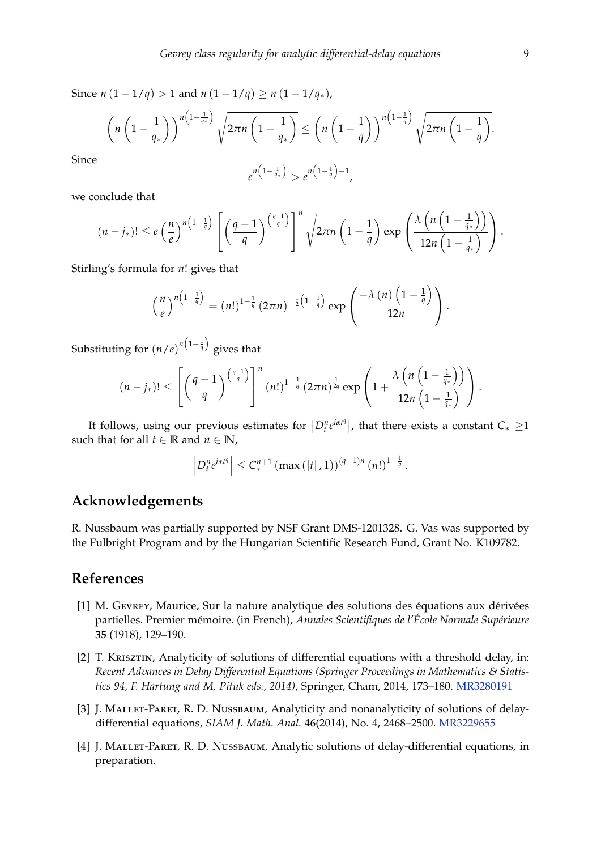Since  $n(1 - 1/q) > 1$  and  $n(1 - 1/q) \ge n(1 - 1/q<sub>*</sub>)$ ,

$$
\left(n\left(1-\frac{1}{q_*}\right)\right)^{n\left(1-\frac{1}{q_*}\right)}\sqrt{2\pi n\left(1-\frac{1}{q_*}\right)} \leq \left(n\left(1-\frac{1}{q}\right)\right)^{n\left(1-\frac{1}{q}\right)}\sqrt{2\pi n\left(1-\frac{1}{q}\right)}.
$$

Since

$$
e^{n\left(1-\frac{1}{q*}\right)} > e^{n\left(1-\frac{1}{q}\right)-1},
$$

we conclude that

$$
(n-j_*)! \leq e\left(\frac{n}{e}\right)^{n\left(1-\frac{1}{q}\right)}\left[\left(\frac{q-1}{q}\right)^{\left(\frac{q-1}{q}\right)}\right]^n\sqrt{2\pi n\left(1-\frac{1}{q}\right)}\exp\left(\frac{\lambda\left(n\left(1-\frac{1}{q_*}\right)\right)}{12n\left(1-\frac{1}{q_*}\right)}\right).
$$

Stirling's formula for *n*! gives that

$$
\left(\frac{n}{e}\right)^{n\left(1-\frac{1}{q}\right)} = \left(n!\right)^{1-\frac{1}{q}} \left(2\pi n\right)^{-\frac{1}{2}\left(1-\frac{1}{q}\right)} \exp\left(\frac{-\lambda\left(n\right)\left(1-\frac{1}{q}\right)}{12n}\right).
$$

Substituting for  $(n/e)^{n\left(1-\frac{1}{q}\right)}$  gives that

$$
(n-j_*)! \leq \left[\left(\frac{q-1}{q}\right)^{\left(\frac{q-1}{q}\right)}\right]^n (n!)^{1-\frac{1}{q}} (2\pi n)^{\frac{1}{2q}} \exp\left(1+\frac{\lambda\left(n\left(1-\frac{1}{q_*}\right)\right)}{12n\left(1-\frac{1}{q_*}\right)}\right).
$$

It follows, using our previous estimates for  $|D_t^n e^{i\alpha t^q}|$ , that there exists a constant  $C_* \geq 1$ such that for all  $t \in \mathbb{R}$  and  $n \in \mathbb{N}$ ,

$$
\left|D_t^n e^{i\alpha t^q}\right| \leq C_*^{n+1} \left(\max\left(\left|t\right|,1\right)\right)^{(q-1)n} \left(n!\right)^{1-\frac{1}{q}}.
$$

# **Acknowledgements**

R. Nussbaum was partially supported by NSF Grant DMS-1201328. G. Vas was supported by the Fulbright Program and by the Hungarian Scientific Research Fund, Grant No. K109782.

## **References**

- <span id="page-8-1"></span>[1] M. Gevrey, Maurice, Sur la nature analytique des solutions des équations aux dérivées partielles. Premier mémoire. (in French), *Annales Scientifiques de l'École Normale Supérieure* **35** (1918), 129–190.
- <span id="page-8-3"></span>[2] T. KRISZTIN, Analyticity of solutions of differential equations with a threshold delay, in: *Recent Advances in Delay Differential Equations (Springer Proceedings in Mathematics & Statistics 94, F. Hartung and M. Pituk eds., 2014)*, Springer, Cham, 2014, 173–180. [MR3280191](http://www.ams.org/mathscinet-getitem?mr=3280191)
- <span id="page-8-2"></span>[3] J. MALLET-PARET, R. D. NUSSBAUM, Analyticity and nonanalyticity of solutions of delaydifferential equations, *SIAM J. Math. Anal.* **46**(2014), No. 4, 2468–2500. [MR3229655](http://www.ams.org/mathscinet-getitem?mr=3229655)
- <span id="page-8-0"></span>[4] J. MALLET-PARET, R. D. NUSSBAUM, Analytic solutions of delay-differential equations, in preparation.